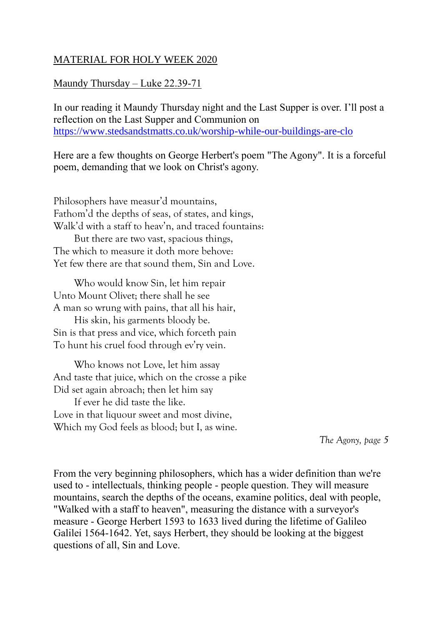## MATERIAL FOR HOLY WEEK 2020

## Maundy Thursday – Luke 22.39-71

In our reading it Maundy Thursday night and the Last Supper is over. I'll post a reflection on the Last Supper and Communion on <https://www.stedsandstmatts.co.uk/worship-while-our-buildings-are-clo>

Here are a few thoughts on George Herbert's poem "The Agony". It is a forceful poem, demanding that we look on Christ's agony.

Philosophers have measur'd mountains, Fathom'd the depths of seas, of states, and kings, Walk'd with a staff to heav'n, and traced fountains: But there are two vast, spacious things, The which to measure it doth more behove: Yet few there are that sound them, Sin and Love.

 Who would know Sin, let him repair Unto Mount Olivet; there shall he see A man so wrung with pains, that all his hair,

 His skin, his garments bloody be. Sin is that press and vice, which forceth pain To hunt his cruel food through ev'ry vein.

 Who knows not Love, let him assay And taste that juice, which on the crosse a pike Did set again abroach; then let him say

 If ever he did taste the like. Love in that liquour sweet and most divine, Which my God feels as blood; but I, as wine.

*The Agony, page 5*

From the very beginning philosophers, which has a wider definition than we're used to - intellectuals, thinking people - people question. They will measure mountains, search the depths of the oceans, examine politics, deal with people, "Walked with a staff to heaven", measuring the distance with a surveyor's measure - George Herbert 1593 to 1633 lived during the lifetime of Galileo Galilei 1564-1642. Yet, says Herbert, they should be looking at the biggest questions of all, Sin and Love.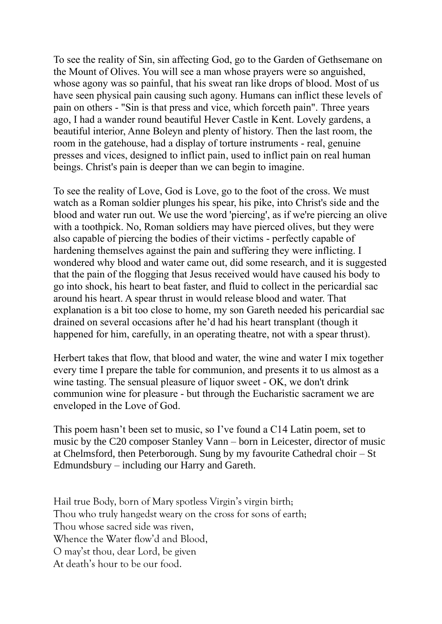To see the reality of Sin, sin affecting God, go to the Garden of Gethsemane on the Mount of Olives. You will see a man whose prayers were so anguished, whose agony was so painful, that his sweat ran like drops of blood. Most of us have seen physical pain causing such agony. Humans can inflict these levels of pain on others - "Sin is that press and vice, which forceth pain". Three years ago, I had a wander round beautiful Hever Castle in Kent. Lovely gardens, a beautiful interior, Anne Boleyn and plenty of history. Then the last room, the room in the gatehouse, had a display of torture instruments - real, genuine presses and vices, designed to inflict pain, used to inflict pain on real human beings. Christ's pain is deeper than we can begin to imagine.

To see the reality of Love, God is Love, go to the foot of the cross. We must watch as a Roman soldier plunges his spear, his pike, into Christ's side and the blood and water run out. We use the word 'piercing', as if we're piercing an olive with a toothpick. No, Roman soldiers may have pierced olives, but they were also capable of piercing the bodies of their victims - perfectly capable of hardening themselves against the pain and suffering they were inflicting. I wondered why blood and water came out, did some research, and it is suggested that the pain of the flogging that Jesus received would have caused his body to go into shock, his heart to beat faster, and fluid to collect in the pericardial sac around his heart. A spear thrust in would release blood and water. That explanation is a bit too close to home, my son Gareth needed his pericardial sac drained on several occasions after he'd had his heart transplant (though it happened for him, carefully, in an operating theatre, not with a spear thrust).

Herbert takes that flow, that blood and water, the wine and water I mix together every time I prepare the table for communion, and presents it to us almost as a wine tasting. The sensual pleasure of liquor sweet - OK, we don't drink communion wine for pleasure - but through the Eucharistic sacrament we are enveloped in the Love of God.

This poem hasn't been set to music, so I've found a C14 Latin poem, set to music by the C20 composer Stanley Vann – born in Leicester, director of music at Chelmsford, then Peterborough. Sung by my favourite Cathedral choir – St Edmundsbury – including our Harry and Gareth.

Hail true Body, born of Mary spotless Virgin's virgin birth; Thou who truly hangedst weary on the cross for sons of earth; Thou whose sacred side was riven, Whence the Water flow'd and Blood, O may'st thou, dear Lord, be given At death's hour to be our food.